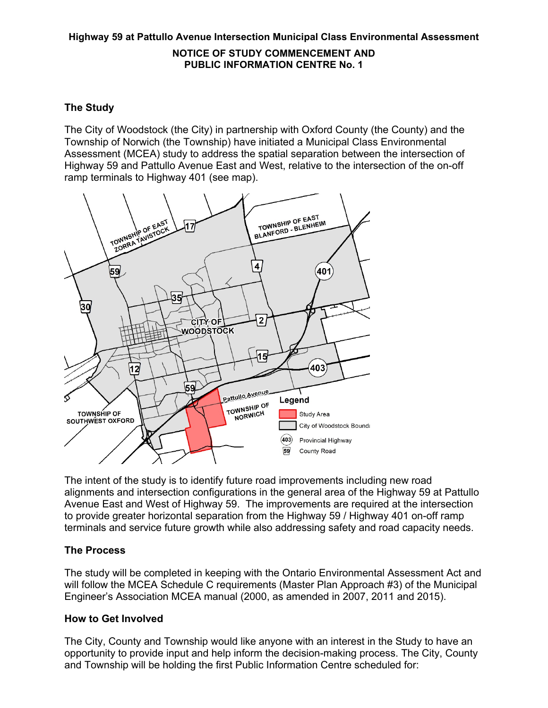# **Highway 59 at Pattullo Avenue Intersection Municipal Class Environmental Assessment**

#### **NOTICE OF STUDY COMMENCEMENT AND PUBLIC INFORMATION CENTRE No. 1**

# **The Study**

The City of Woodstock (the City) in partnership with Oxford County (the County) and the Township of Norwich (the Township) have initiated a Municipal Class Environmental Assessment (MCEA) study to address the spatial separation between the intersection of Highway 59 and Pattullo Avenue East and West, relative to the intersection of the on-off ramp terminals to Highway 401 (see map).



The intent of the study is to identify future road improvements including new road alignments and intersection configurations in the general area of the Highway 59 at Pattullo Avenue East and West of Highway 59. The improvements are required at the intersection to provide greater horizontal separation from the Highway 59 / Highway 401 on-off ramp terminals and service future growth while also addressing safety and road capacity needs.

# **The Process**

The study will be completed in keeping with the Ontario Environmental Assessment Act and will follow the MCEA Schedule C requirements (Master Plan Approach #3) of the Municipal Engineer's Association MCEA manual (2000, as amended in 2007, 2011 and 2015).

# **How to Get Involved**

The City, County and Township would like anyone with an interest in the Study to have an opportunity to provide input and help inform the decision-making process. The City, County and Township will be holding the first Public Information Centre scheduled for: